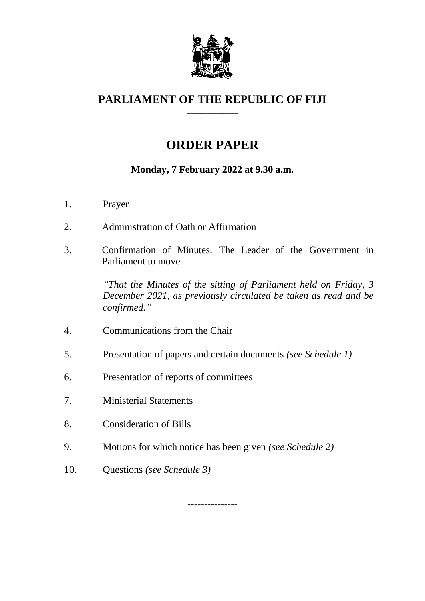

#### **PARLIAMENT OF THE REPUBLIC OF FIJI \_\_\_\_\_\_\_\_\_\_\_\_\_**

# **ORDER PAPER**

## **Monday, 7 February 2022 at 9.30 a.m.**

- 1. Prayer
- 2. Administration of Oath or Affirmation
- 3. Confirmation of Minutes. The Leader of the Government in Parliament to move –

*"That the Minutes of the sitting of Parliament held on Friday, 3 December 2021, as previously circulated be taken as read and be confirmed."*

- 4. Communications from the Chair
- 5. Presentation of papers and certain documents *(see Schedule 1)*
- 6. Presentation of reports of committees
- 7. Ministerial Statements
- 8. Consideration of Bills
- 9. Motions for which notice has been given *(see Schedule 2)*
- 10. Questions *(see Schedule 3)*

---------------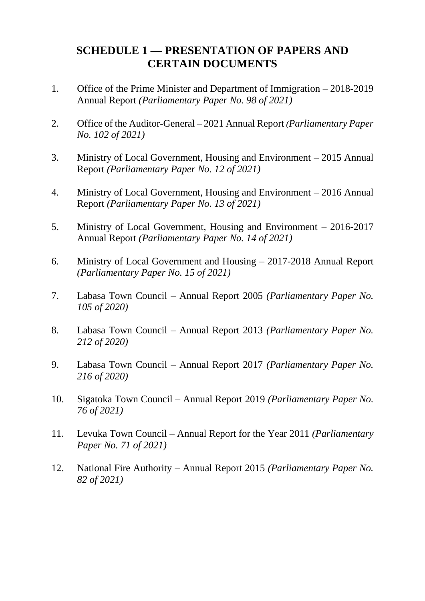# **SCHEDULE 1 — PRESENTATION OF PAPERS AND CERTAIN DOCUMENTS**

- 1. Office of the Prime Minister and Department of Immigration 2018-2019 Annual Report *(Parliamentary Paper No. 98 of 2021)*
- 2. Office of the Auditor-General 2021 Annual Report *(Parliamentary Paper No. 102 of 2021)*
- 3. Ministry of Local Government, Housing and Environment 2015 Annual Report *(Parliamentary Paper No. 12 of 2021)*
- 4. Ministry of Local Government, Housing and Environment 2016 Annual Report *(Parliamentary Paper No. 13 of 2021)*
- 5. Ministry of Local Government, Housing and Environment 2016-2017 Annual Report *(Parliamentary Paper No. 14 of 2021)*
- 6. Ministry of Local Government and Housing 2017-2018 Annual Report *(Parliamentary Paper No. 15 of 2021)*
- 7. Labasa Town Council Annual Report 2005 *(Parliamentary Paper No. 105 of 2020)*
- 8. Labasa Town Council Annual Report 2013 *(Parliamentary Paper No. 212 of 2020)*
- 9. Labasa Town Council Annual Report 2017 *(Parliamentary Paper No. 216 of 2020)*
- 10. Sigatoka Town Council Annual Report 2019 *(Parliamentary Paper No. 76 of 2021)*
- 11. Levuka Town Council Annual Report for the Year 2011 *(Parliamentary Paper No. 71 of 2021)*
- 12. National Fire Authority Annual Report 2015 *(Parliamentary Paper No. 82 of 2021)*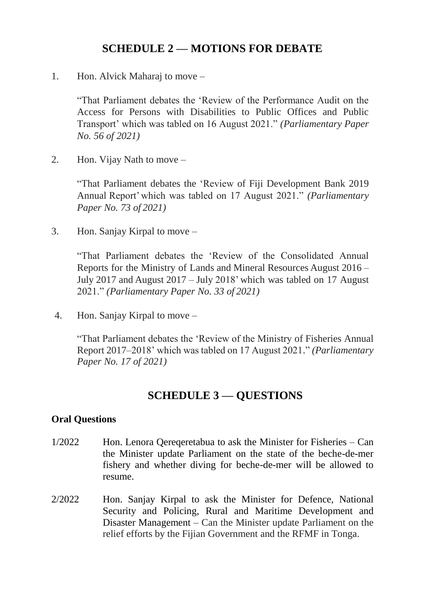### **SCHEDULE 2 — MOTIONS FOR DEBATE**

1. Hon. Alvick Maharaj to move –

"That Parliament debates the 'Review of the Performance Audit on the Access for Persons with Disabilities to Public Offices and Public Transport' which was tabled on 16 August 2021." *(Parliamentary Paper No. 56 of 2021)*

2. Hon. Vijay Nath to move –

"That Parliament debates the 'Review of Fiji Development Bank 2019 Annual Report'which was tabled on 17 August 2021." *(Parliamentary Paper No. 73 of 2021)*

3. Hon. Sanjay Kirpal to move –

"That Parliament debates the 'Review of the Consolidated Annual Reports for the Ministry of Lands and Mineral Resources August 2016 – July 2017 and August 2017 – July 2018' which was tabled on 17 August 2021." *(Parliamentary Paper No. 33 of 2021)*

4. Hon. Sanjay Kirpal to move –

"That Parliament debates the 'Review of the Ministry of Fisheries Annual Report 2017–2018' which was tabled on 17 August 2021." *(Parliamentary Paper No. 17 of 2021)*

#### **SCHEDULE 3 — QUESTIONS**

#### **Oral Questions**

- 1/2022 Hon. Lenora Qereqeretabua to ask the Minister for Fisheries Can the Minister update Parliament on the state of the beche-de-mer fishery and whether diving for beche-de-mer will be allowed to resume.
- 2/2022 Hon. Sanjay Kirpal to ask the Minister for Defence, National Security and Policing, Rural and Maritime Development and Disaster Management – Can the Minister update Parliament on the relief efforts by the Fijian Government and the RFMF in Tonga.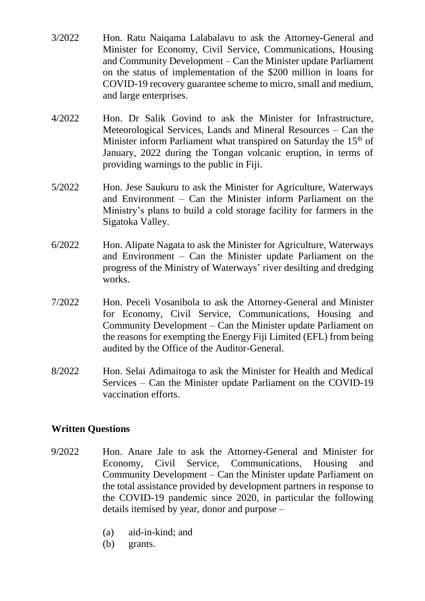- 3/2022 Hon. Ratu Naiqama Lalabalavu to ask the Attorney-General and Minister for Economy, Civil Service, Communications, Housing and Community Development – Can the Minister update Parliament on the status of implementation of the \$200 million in loans for COVID-19 recovery guarantee scheme to micro, small and medium, and large enterprises.
- 4/2022 Hon. Dr Salik Govind to ask the Minister for Infrastructure, Meteorological Services, Lands and Mineral Resources – Can the Minister inform Parliament what transpired on Saturday the 15<sup>th</sup> of January, 2022 during the Tongan volcanic eruption, in terms of providing warnings to the public in Fiji.
- 5/2022 Hon. Jese Saukuru to ask the Minister for Agriculture, Waterways and Environment – Can the Minister inform Parliament on the Ministry's plans to build a cold storage facility for farmers in the Sigatoka Valley.
- 6/2022 Hon. Alipate Nagata to ask the Minister for Agriculture, Waterways and Environment – Can the Minister update Parliament on the progress of the Ministry of Waterways' river desilting and dredging works.
- 7/2022 Hon. Peceli Vosanibola to ask the Attorney-General and Minister for Economy, Civil Service, Communications, Housing and Community Development – Can the Minister update Parliament on the reasons for exempting the Energy Fiji Limited (EFL) from being audited by the Office of the Auditor-General.
- 8/2022 Hon. Selai Adimaitoga to ask the Minister for Health and Medical Services – Can the Minister update Parliament on the COVID-19 vaccination efforts.

#### **Written Questions**

- 9/2022 Hon. Anare Jale to ask the Attorney-General and Minister for Economy, Civil Service, Communications, Housing and Community Development – Can the Minister update Parliament on the total assistance provided by development partners in response to the COVID-19 pandemic since 2020, in particular the following details itemised by year, donor and purpose –
	- (a) aid-in-kind; and
	- (b) grants.